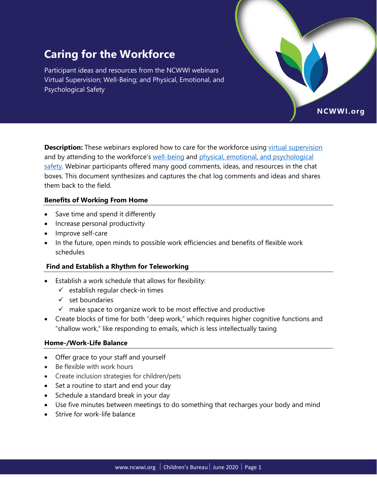# **Caring for the Workforce**

Participant ideas and resources from the NCWWI webinars Virtual Supervision; Well-Being; and Physical, Emotional, and Psychological Safety

**Description:** These webinars explored how to care for the workforce using [virtual supervision](https://ncwwi.org/supporting-the-virtual-workforce-session-1) and by attending to the workforce's [well-being](https://ncwwi.org/supporting-the-virtual-workforce-session-2) and [physical, emotional, and psychological](https://ncwwi.org/supporting-the-virtual-workforce-session-3)  [safety.](https://ncwwi.org/supporting-the-virtual-workforce-session-3) Webinar participants offered many good comments, ideas, and resources in the chat boxes. This document synthesizes and captures the chat log comments and ideas and shares them back to the field.

NCWWI.org

#### **Benefits of Working From Home**

- Save time and spend it differently
- Increase personal productivity
- Improve self-care
- In the future, open minds to possible work efficiencies and benefits of flexible work schedules

#### **Find and Establish a Rhythm for Teleworking**

- Establish a work schedule that allows for flexibility:
	- $\checkmark$  establish regular check-in times
	- $\checkmark$  set boundaries
	- $\checkmark$  make space to organize work to be most effective and productive
- Create blocks of time for both "deep work," which requires higher cognitive functions and "shallow work," like responding to emails, which is less intellectually taxing

# **Home-/Work-Life Balance**

- Offer grace to your staff and yourself
- Be flexible with work hours
- Create inclusion strategies for children/pets
- Set a routine to start and end your day
- Schedule a standard break in your day
- Use five minutes between meetings to do something that recharges your body and mind
- Strive for work-life balance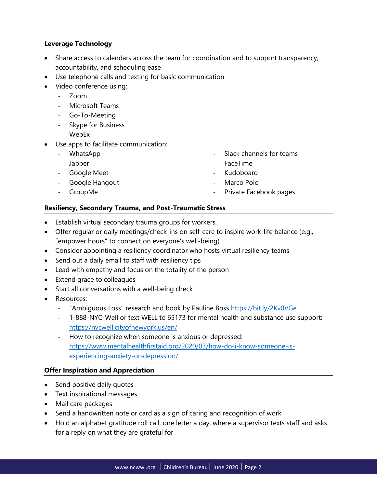## **Leverage Technology**

- Share access to calendars across the team for coordination and to support transparency, accountability, and scheduling ease
- Use telephone calls and texting for basic communication
- Video conference using:
	- ‐ Zoom
	- ‐ Microsoft Teams
	- ‐ Go-To-Meeting
	- ‐ Skype for Business
	- ‐ WebEx
- Use apps to facilitate communication:
	- ‐ WhatsApp
	- ‐ Jabber
	- ‐ Google Meet
	- ‐ Google Hangout
	- ‐ GroupMe
- Slack channels for teams
- ‐ FaceTime
- ‐ Kudoboard
- ‐ Marco Polo
- ‐ Private Facebook pages

#### **Resiliency, Secondary Trauma, and Post-Traumatic Stress**

- Establish virtual secondary trauma groups for workers
- Offer regular or daily meetings/check-ins on self-care to inspire work-life balance (e.g., "empower hours" to connect on everyone's well-being)
- Consider appointing a resiliency coordinator who hosts virtual resiliency teams
- Send out a daily email to staff with resiliency tips
- Lead with empathy and focus on the totality of the person
- Extend grace to colleagues
- Start all conversations with a well-being check
- Resources:
	- "Ambiguous Loss" research and book by Pauline Boss<https://bit.ly/2Kv0VGe>
	- ‐ 1-888-NYC-Well or text WELL to 65173 for mental health and substance use support: <https://nycwell.cityofnewyork.us/en/>
	- ‐ How to recognize when someone is anxious or depressed: [https://www.mentalhealthfirstaid.org/2020/03/how-do-i-know-someone-is](https://www.mentalhealthfirstaid.org/2020/03/how-do-i-know-someone-is-experiencing-anxiety-or-depression/?mkt_tok=eyJpIjoiTkRZd1pqY3pZMlExWldFNSIsInQiOiJMbVwvMzZUN1NIQk1CXC9EXC9hQlhMWXlpcmt0QnZ3N0hCc1JmcDZrS1wvZXRtaVF3QkI1MTBaU0I4OGlPTlwvUGFtN3lxcTBJdStrd2dyMkRzM1JwRDh4YnZOREpPMnZJWEd0VVh2MCtNUW1PZ2ZjaURLQ0V1b2xyR3JmWnc5a20waVRTIn0%3D)[experiencing-anxiety-or-depression/](https://www.mentalhealthfirstaid.org/2020/03/how-do-i-know-someone-is-experiencing-anxiety-or-depression/?mkt_tok=eyJpIjoiTkRZd1pqY3pZMlExWldFNSIsInQiOiJMbVwvMzZUN1NIQk1CXC9EXC9hQlhMWXlpcmt0QnZ3N0hCc1JmcDZrS1wvZXRtaVF3QkI1MTBaU0I4OGlPTlwvUGFtN3lxcTBJdStrd2dyMkRzM1JwRDh4YnZOREpPMnZJWEd0VVh2MCtNUW1PZ2ZjaURLQ0V1b2xyR3JmWnc5a20waVRTIn0%3D)

#### **Offer Inspiration and Appreciation**

- Send positive daily quotes
- Text inspirational messages
- Mail care packages
- Send a handwritten note or card as a sign of caring and recognition of work
- Hold an alphabet gratitude roll call, one letter a day, where a supervisor texts staff and asks for a reply on what they are grateful for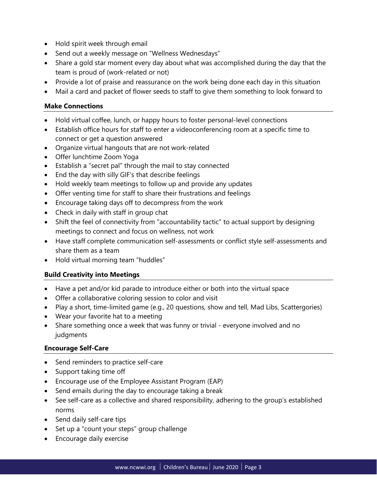- Hold spirit week through email
- Send out a weekly message on "Wellness Wednesdays"
- Share a gold star moment every day about what was accomplished during the day that the team is proud of (work-related or not)
- Provide a lot of praise and reassurance on the work being done each day in this situation
- Mail a card and packet of flower seeds to staff to give them something to look forward to

#### **Make Connections**

- Hold virtual coffee, lunch, or happy hours to foster personal-level connections
- Establish office hours for staff to enter a videoconferencing room at a specific time to connect or get a question answered
- Organize virtual hangouts that are not work-related
- Offer lunchtime Zoom Yoga
- Establish a "secret pal" through the mail to stay connected
- End the day with silly GIF's that describe feelings
- Hold weekly team meetings to follow up and provide any updates
- Offer venting time for staff to share their frustrations and feelings
- Encourage taking days off to decompress from the work
- Check in daily with staff in group chat
- Shift the feel of connectivity from "accountability tactic" to actual support by designing meetings to connect and focus on wellness, not work
- Have staff complete communication self-assessments or conflict style self-assessments and share them as a team
- Hold virtual morning team "huddles"

#### **Build Creativity into Meetings**

- Have a pet and/or kid parade to introduce either or both into the virtual space
- Offer a collaborative coloring session to color and visit
- Play a short, time-limited game (e.g., 20 questions, show and tell, Mad Libs, Scattergories)
- Wear your favorite hat to a meeting
- Share something once a week that was funny or trivial everyone involved and no judgments

#### **Encourage Self-Care**

- Send reminders to practice self-care
- Support taking time off
- Encourage use of the Employee Assistant Program (EAP)
- Send emails during the day to encourage taking a break
- See self-care as a collective and shared responsibility, adhering to the group's established norms
- Send daily self-care tips
- Set up a "count your steps" group challenge
- Encourage daily exercise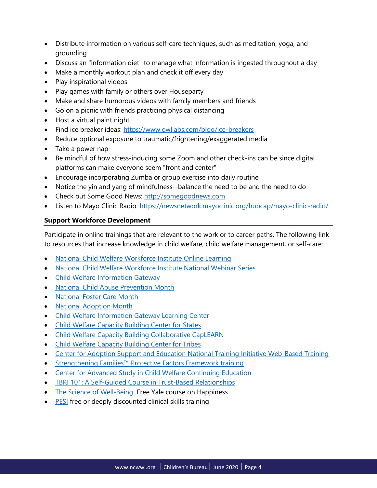- Distribute information on various self-care techniques, such as meditation, yoga, and grounding
- Discuss an "information diet" to manage what information is ingested throughout a day
- Make a monthly workout plan and check it off every day
- Play inspirational videos
- Play games with family or others over Houseparty
- Make and share humorous videos with family members and friends
- Go on a picnic with friends practicing physical distancing
- Host a virtual paint night
- Find ice breaker ideas:<https://www.owllabs.com/blog/ice-breakers>
- Reduce optional exposure to traumatic/frightening/exaggerated media
- Take a power nap
- Be mindful of how stress-inducing some Zoom and other check-ins can be since digital platforms can make everyone seem "front and center"
- Encourage incorporating Zumba or group exercise into daily routine
- Notice the yin and yang of mindfulness--balance the need to be and the need to do
- Check out Some Good News: [http://somegoodnews.com](http://somegoodnews.com/)
- Listen to Mayo Clinic Radio:<https://newsnetwork.mayoclinic.org/hubcap/mayo-clinic-radio/>

# **Support Workforce Development**

Participate in online trainings that are relevant to the work or to career paths. The following link to resources that increase knowledge in child welfare, child welfare management, or self-care:

- [National Child Welfare Workforce Institute Online Learning](http://courses.ncwwi.org/)
- [National Child Welfare Workforce Institute National Webinar Series](https://ncwwi.org/index.php/webinar/national-webinar-series)
- [Child Welfare Information Gateway](https://www.childwelfare.gov/)
- [National Child Abuse Prevention Month](https://www.childwelfare.gov/topics/preventing/preventionmonth/)
- [National Foster Care Month](https://www.childwelfare.gov/fostercaremonth/)
- [National Adoption Month](https://www.childwelfare.gov/topics/adoption/nam/)
- [Child Welfare Information Gateway Learning Center](https://www.childwelfare.gov/learningcenter/)
- [Child Welfare Capacity Building Center for States](https://capacity.childwelfare.gov/states/)
- [Child Welfare Capacity Building Collaborative CapLEARN](https://learn.childwelfare.gov/)
- [Child Welfare Capacity Building Center for Tribes](https://capacity.childwelfare.gov/tribes/)
- [Center for Adoption Support and Education National Training Initiative Web-Based Training](https://adoptionsupport.org/nti/access/)
- [Strengthening Families™ Protective Factors Framework training](https://ctfalliance.org/protective-factors/)
- [Center for Advanced Study in Child Welfare Continuing Education](https://cascw.umn.edu/continuing-education/#modules)
- [TBRI 101: A Self-Guided Course in Trust-Based Relationships](https://child.tcu.edu/free-tbri-101/#sthash.Ja08UWTA.dpbs)
- [The Science of Well-Being](https://www.coursera.org/learn/the-science-of-well-being) Free Yale course on Happiness
- [PESI](https://www.pesi.com/) free or deeply discounted clinical skills training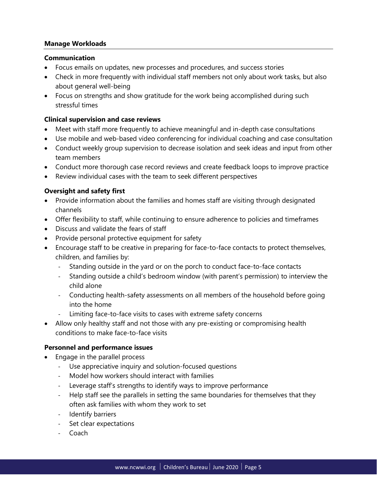#### **Manage Workloads**

#### **Communication**

- Focus emails on updates, new processes and procedures, and success stories
- Check in more frequently with individual staff members not only about work tasks, but also about general well-being
- Focus on strengths and show gratitude for the work being accomplished during such stressful times

#### **Clinical supervision and case reviews**

- Meet with staff more frequently to achieve meaningful and in-depth case consultations
- Use mobile and web-based video conferencing for individual coaching and case consultation
- Conduct weekly group supervision to decrease isolation and seek ideas and input from other team members
- Conduct more thorough case record reviews and create feedback loops to improve practice
- Review individual cases with the team to seek different perspectives

## **Oversight and safety first**

- Provide information about the families and homes staff are visiting through designated channels
- Offer flexibility to staff, while continuing to ensure adherence to policies and timeframes
- Discuss and validate the fears of staff
- Provide personal protective equipment for safety
- Encourage staff to be creative in preparing for face-to-face contacts to protect themselves, children, and families by:
	- ‐ Standing outside in the yard or on the porch to conduct face-to-face contacts
	- ‐ Standing outside a child's bedroom window (with parent's permission) to interview the child alone
	- ‐ Conducting health-safety assessments on all members of the household before going into the home
	- ‐ Limiting face-to-face visits to cases with extreme safety concerns
- Allow only healthy staff and not those with any pre-existing or compromising health conditions to make face-to-face visits

# **Personnel and performance issues**

- Engage in the parallel process
	- ‐ Use appreciative inquiry and solution-focused questions
	- ‐ Model how workers should interact with families
	- Leverage staff's strengths to identify ways to improve performance
	- ‐ Help staff see the parallels in setting the same boundaries for themselves that they often ask families with whom they work to set
	- ‐ Identify barriers
	- Set clear expectations
	- ‐ Coach